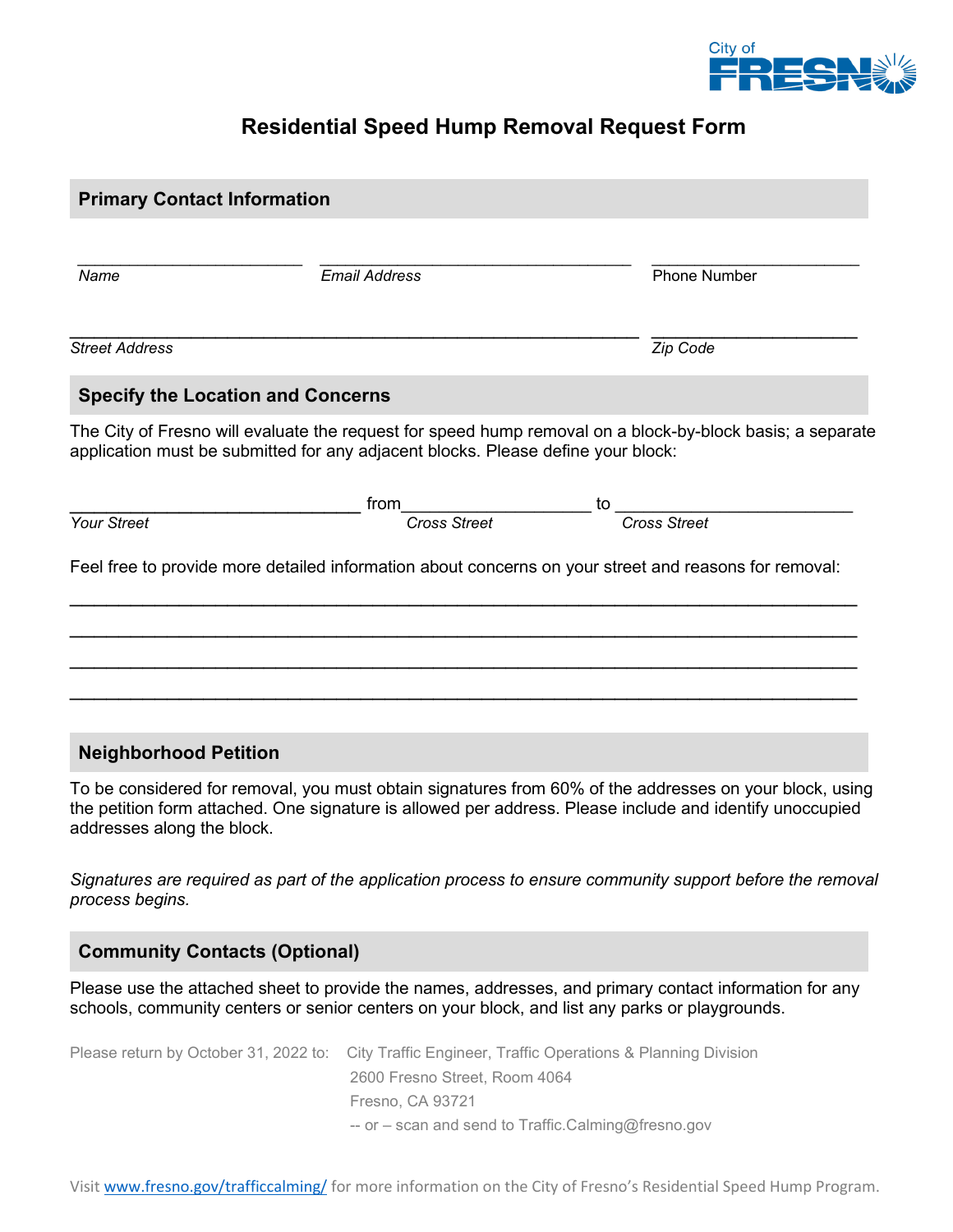

# **Residential Speed Hump Removal Request Form**

| <b>Primary Contact Information</b>                                                             |                                                                                                          |                                                                                                                                                                                                                     |  |  |
|------------------------------------------------------------------------------------------------|----------------------------------------------------------------------------------------------------------|---------------------------------------------------------------------------------------------------------------------------------------------------------------------------------------------------------------------|--|--|
|                                                                                                |                                                                                                          |                                                                                                                                                                                                                     |  |  |
| Name                                                                                           | <b>Email Address</b>                                                                                     | <b>Phone Number</b>                                                                                                                                                                                                 |  |  |
| <b>Street Address</b>                                                                          |                                                                                                          | Zip Code                                                                                                                                                                                                            |  |  |
| <b>Specify the Location and Concerns</b>                                                       |                                                                                                          |                                                                                                                                                                                                                     |  |  |
| application must be submitted for any adjacent blocks. Please define your block:               |                                                                                                          | The City of Fresno will evaluate the request for speed hump removal on a block-by-block basis; a separate                                                                                                           |  |  |
|                                                                                                |                                                                                                          |                                                                                                                                                                                                                     |  |  |
| Your Street                                                                                    |                                                                                                          |                                                                                                                                                                                                                     |  |  |
| <b>Neighborhood Petition</b>                                                                   |                                                                                                          |                                                                                                                                                                                                                     |  |  |
| addresses along the block.                                                                     |                                                                                                          | To be considered for removal, you must obtain signatures from 60% of the addresses on your block, using<br>the petition form attached. One signature is allowed per address. Please include and identify unoccupied |  |  |
| process begins.                                                                                |                                                                                                          | Signatures are required as part of the application process to ensure community support before the removal                                                                                                           |  |  |
| <b>Community Contacts (Optional)</b>                                                           |                                                                                                          |                                                                                                                                                                                                                     |  |  |
| schools, community centers or senior centers on your block, and list any parks or playgrounds. |                                                                                                          | Please use the attached sheet to provide the names, addresses, and primary contact information for any                                                                                                              |  |  |
| Please return by October 31, 2022 to:                                                          | 2600 Fresno Street, Room 4064<br>Fresno, CA 93721<br>-- or - scan and send to Traffic.Calming@fresno.gov | City Traffic Engineer, Traffic Operations & Planning Division                                                                                                                                                       |  |  |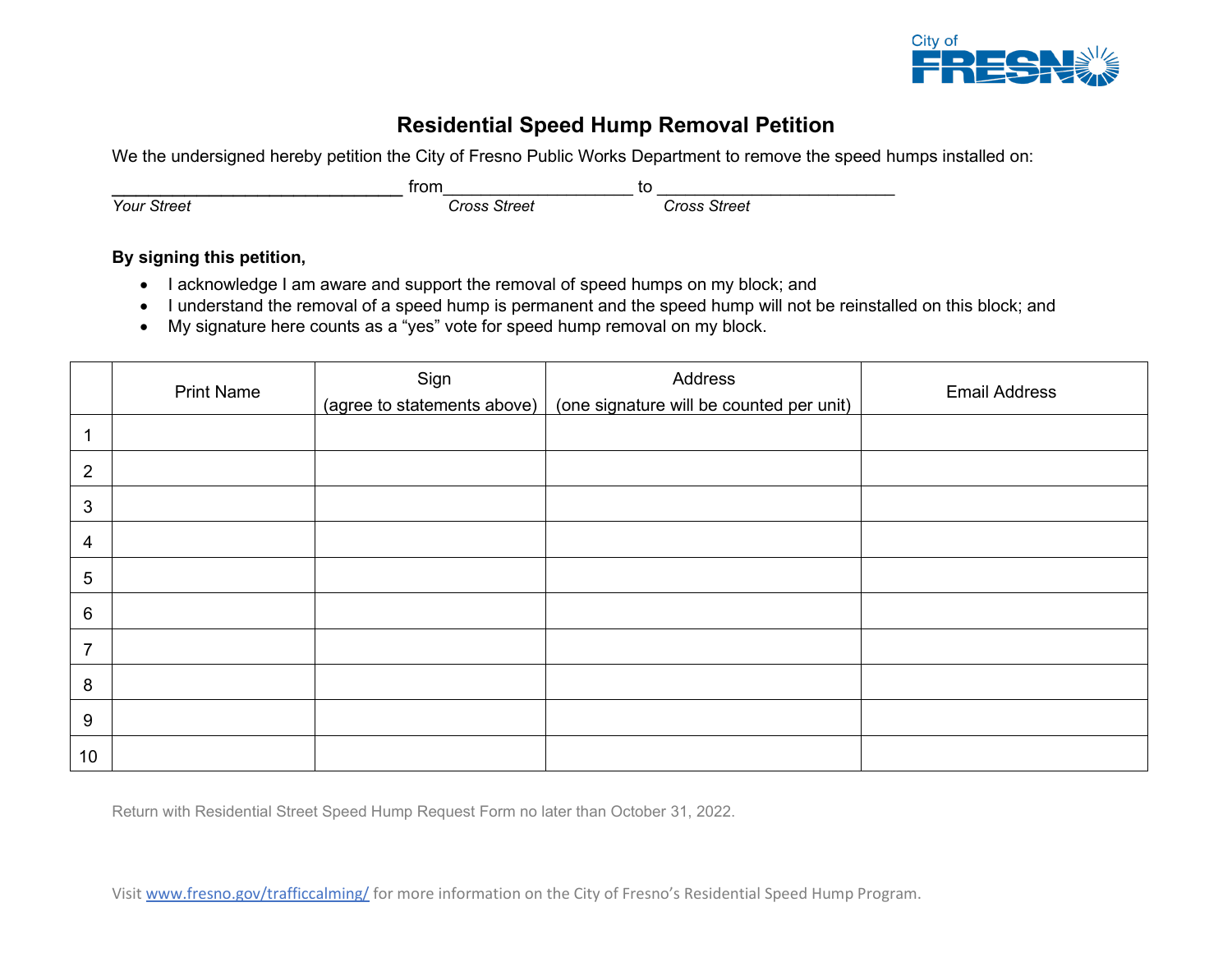

## **Residential Speed Hump Removal Petition**

We the undersigned hereby petition the City of Fresno Public Works Department to remove the speed humps installed on:

|                    | <b>from</b>  | to |              |
|--------------------|--------------|----|--------------|
| <b>Your Street</b> | Cross Street |    | Cross Street |

#### **By signing this petition,**

- I acknowledge I am aware and support the removal of speed humps on my block; and
- I understand the removal of a speed hump is permanent and the speed hump will not be reinstalled on this block; and
- My signature here counts as a "yes" vote for speed hump removal on my block.

|                 | <b>Print Name</b> | Sign<br>(agree to statements above) | Address<br>(one signature will be counted per unit) | <b>Email Address</b> |
|-----------------|-------------------|-------------------------------------|-----------------------------------------------------|----------------------|
|                 |                   |                                     |                                                     |                      |
| 2               |                   |                                     |                                                     |                      |
| 3               |                   |                                     |                                                     |                      |
| 4               |                   |                                     |                                                     |                      |
| 5               |                   |                                     |                                                     |                      |
| $\,6\,$         |                   |                                     |                                                     |                      |
| $\overline{7}$  |                   |                                     |                                                     |                      |
| 8               |                   |                                     |                                                     |                      |
| 9               |                   |                                     |                                                     |                      |
| 10 <sup>°</sup> |                   |                                     |                                                     |                      |

Return with Residential Street Speed Hump Request Form no later than October 31, 2022.